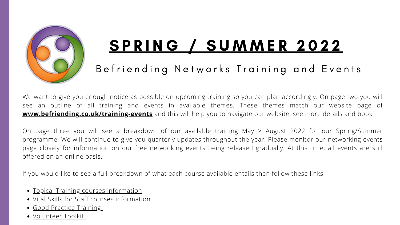

# S P R I N G / S U [M](https://www.befriending.co.uk/r/25025-vital-skills-our-information-booklet) M E R 2022

### Befriending Networks Training and Events

- Topical Training courses [information](http://www.befriending.co.uk/training-events/topical)
- Vital Skills for Staff courses [information](https://www.befriending.co.uk/training-events/vital-skills)
- Good Practice [Training](http://www.befriending.co.uk/training-events/good-practice)
- [Volunteer](https://www.befriending.co.uk/training-events/volunteer-toolkit/) Toolkit

We want to give you enough notice as possible on upcoming training so you can plan accordingly. On page two you will see an outline of all training and events in available themes. These themes match our website page of **[www.befriending.co.uk/training-events](https://www.befriending.co.uk/training-events)** and this will help you to navigate our website, see more details and book.

On page three you will see a breakdown of our available training May > August 2022 for our Spring/Summer programme. We will continue to give you quarterly updates throughout the year. Please monitor our networking events page closely for information on our free networking events being released gradually. At this time, all events are still offered on an online basis.

If you would like to see a full breakdown of what each course available entails then follow these links: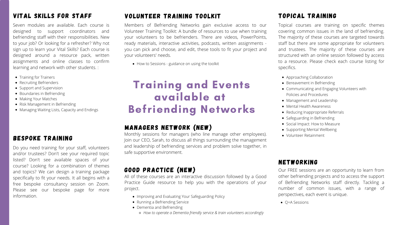## Training and Events available at Befriending Networks

#### Vital Skills For STAFF

Seven modules are available. Each course is designed to support coordinators and befriending staff with their responsibilities. New to your job? Or looking for a refresher? Why not sign up to learn your Vital Skills? Each course is designed around a resource pack, written assignments and online classes to confirm learning and network with other students. :

- Training for Trainers
- Recruiting Befrienders
- Support and Supervision
- Boundaries in Befriending
- Making Your Matches
- Risk Management in Befriending
- Managing Waiting Lists, Capacity and Endings

#### NETWORKING

Our FREE sessions are an opportunity to learn from other befriending projects and to access the support of Befriending Networks staff directly. Tackling a number of common issues, with a range of perspectives, each event is unique.

Q+A Sessions

#### BESPOKE TRAINING

- Approaching Collaboration
- Bereavement in Befriending
- Communicating and Engaging Volunteers with Policies and Procedures
- Management and Leadership
- Mental Health Awareness
- Reducing Inappropriate Referrals
- Safeguarding in Befriending
- Social Impact: How to Measure
- Supporting Mental Wellbeing
- Volunteer Retainment

Do you need training for your staff, volunteers and/or trustees? Don't see your required topic listed? Don't see available spaces of your course? Looking for a combination of themes and topics? We can design a training package specifically to fit your needs. It all begins with a free bespoke consultancy session on Zoom. Please see our bespoke page for more information.

- Improving and Evaluating Your Safeguarding Policy
- Running a Befriending Service
- Dementia and Befriending
	- *How to operate a Dementia friendly service & train volunteers accordingly*

### TOPICAL TRAINING

Topical courses are training on specific themes covering common issues in the land of befriending. The majority of these courses are targeted towards staff but there are some appropriate for volunteers and trustees. The majority of these courses are structured with an online session followed by access to a resource. Please check each course listing for specifics.

#### GOOD PRACTICE (NEW)

All of these courses are an interactive discussion followed by a Good Practice Guide resource to help you with the operations of your project.

#### volunteer training toolkit

Members of Befriending Networks gain exclusive access to our Volunteer Training Toolkit: A bundle of resources to use when training your volunteers to be befrienders. There are videos, PowerPoints, ready materials, interactive activities, podcasts, written assignments you can pick and choose, and edit, these tools to fit your project and your volunteers' needs.

• How to Sessions - guidance on using the toolkit

#### MANAGERS NETWORK (NEW)

Monthly sessions for managers (who line manage other employees). Join our CEO, Sarah, to discuss all things surrounding the management and leadership of befriending services and problem solve together, in safe supportive environment.